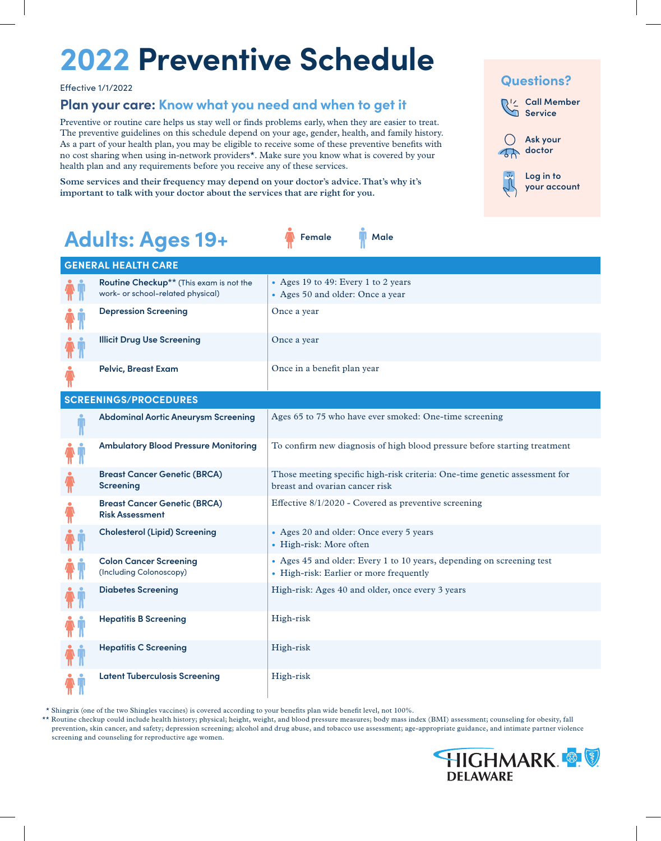# **2022 Preventive Schedule**

### **Plan your care: Know what you need and when to get it**

Preventive or routine care helps us stay well or finds problems early, when they are easier to treat. The preventive guidelines on this schedule depend on your age, gender, health, and family history. As a part of your health plan, you may be eligible to receive some of these preventive benefits with no cost sharing when using in-network providers\*. Make sure you know what is covered by your health plan and any requirements before you receive any of these services.

**Some services and their frequency may depend on your doctor's advice. That's why it's important to talk with your doctor about the services that are right for you.** 

### **R**<sup>1</sup><sup>2</sup> Call Member **Service Ask your doctor Log in to your account Questions?** Effective 1/1/2022

| Adults: Ages 19+ |  |  |
|------------------|--|--|
|------------------|--|--|

| <b>GENERAL HEALTH CARE</b>                                                   |                                                                                                                  |
|------------------------------------------------------------------------------|------------------------------------------------------------------------------------------------------------------|
| Routine Checkup** (This exam is not the<br>work- or school-related physical) | • Ages 19 to 49: Every 1 to 2 years<br>• Ages 50 and older: Once a year                                          |
| <b>Depression Screening</b>                                                  | Once a year                                                                                                      |
| <b>Illicit Drug Use Screening</b>                                            | Once a year                                                                                                      |
| <b>Pelvic, Breast Exam</b>                                                   | Once in a benefit plan year                                                                                      |
| <b>SCREENINGS/PROCEDURES</b>                                                 |                                                                                                                  |
| <b>Abdominal Aortic Aneurysm Screening</b>                                   | Ages 65 to 75 who have ever smoked: One-time screening                                                           |
| <b>Ambulatory Blood Pressure Monitoring</b>                                  | To confirm new diagnosis of high blood pressure before starting treatment                                        |
| <b>Breast Cancer Genetic (BRCA)</b><br><b>Screening</b>                      | Those meeting specific high-risk criteria: One-time genetic assessment for<br>breast and ovarian cancer risk     |
| <b>Breast Cancer Genetic (BRCA)</b><br><b>Risk Assessment</b>                | Effective 8/1/2020 - Covered as preventive screening                                                             |
| <b>Cholesterol (Lipid) Screening</b>                                         | • Ages 20 and older: Once every 5 years<br>• High-risk: More often                                               |
| <b>Colon Cancer Screening</b><br>(Including Colonoscopy)                     | • Ages 45 and older: Every 1 to 10 years, depending on screening test<br>• High-risk: Earlier or more frequently |
| <b>Diabetes Screening</b>                                                    | High-risk: Ages 40 and older, once every 3 years                                                                 |
| <b>Hepatitis B Screening</b>                                                 | High-risk                                                                                                        |
| <b>Hepatitis C Screening</b>                                                 | High-risk                                                                                                        |
| <b>Latent Tuberculosis Screening</b>                                         | High-risk                                                                                                        |

**Female Male**

\* Shingrix (one of the two Shingles vaccines) is covered according to your benefits plan wide benefit level, not 100%.

\*\* Routine checkup could include health history; physical; height, weight, and blood pressure measures; body mass index (BMI) assessment; counseling for obesity, fall prevention, skin cancer, and safety; depression screening; alcohol and drug abuse, and tobacco use assessment; age-appropriate guidance, and intimate partner violence screening and counseling for reproductive age women.

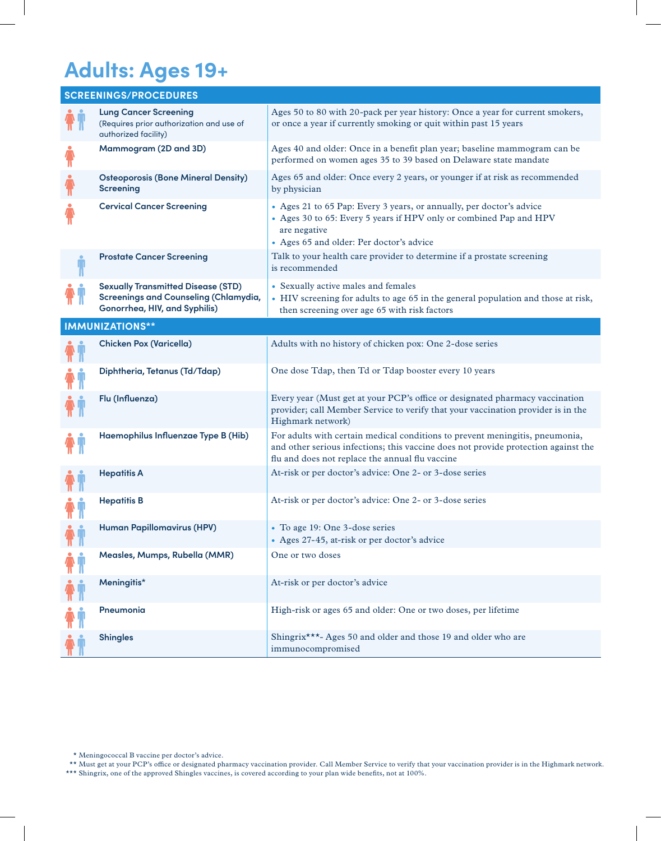### **Adults: Ages 19+**

|                           | <b>SCREENINGS/PROCEDURES</b>                                                                                               |                                                                                                                                                                                                                       |
|---------------------------|----------------------------------------------------------------------------------------------------------------------------|-----------------------------------------------------------------------------------------------------------------------------------------------------------------------------------------------------------------------|
|                           | <b>Lung Cancer Screening</b><br>(Requires prior authorization and use of<br>authorized facility)                           | Ages 50 to 80 with 20-pack per year history: Once a year for current smokers,<br>or once a year if currently smoking or quit within past 15 years                                                                     |
| π                         | Mammogram (2D and 3D)                                                                                                      | Ages 40 and older: Once in a benefit plan year; baseline mammogram can be<br>performed on women ages 35 to 39 based on Delaware state mandate                                                                         |
|                           | <b>Osteoporosis (Bone Mineral Density)</b><br><b>Screening</b>                                                             | Ages 65 and older: Once every 2 years, or younger if at risk as recommended<br>by physician                                                                                                                           |
|                           | <b>Cervical Cancer Screening</b>                                                                                           | • Ages 21 to 65 Pap: Every 3 years, or annually, per doctor's advice<br>• Ages 30 to 65: Every 5 years if HPV only or combined Pap and HPV<br>are negative<br>• Ages 65 and older: Per doctor's advice                |
|                           | <b>Prostate Cancer Screening</b>                                                                                           | Talk to your health care provider to determine if a prostate screening<br>is recommended                                                                                                                              |
|                           | <b>Sexually Transmitted Disease (STD)</b><br><b>Screenings and Counseling (Chlamydia,</b><br>Gonorrhea, HIV, and Syphilis) | • Sexually active males and females<br>• HIV screening for adults to age 65 in the general population and those at risk,<br>then screening over age 65 with risk factors                                              |
|                           | <b>IMMUNIZATIONS**</b>                                                                                                     |                                                                                                                                                                                                                       |
|                           | <b>Chicken Pox (Varicella)</b>                                                                                             | Adults with no history of chicken pox: One 2-dose series                                                                                                                                                              |
|                           | Diphtheria, Tetanus (Td/Tdap)                                                                                              | One dose Tdap, then Td or Tdap booster every 10 years                                                                                                                                                                 |
|                           | Flu (Influenza)                                                                                                            | Every year (Must get at your PCP's office or designated pharmacy vaccination<br>provider; call Member Service to verify that your vaccination provider is in the<br>Highmark network)                                 |
|                           | Haemophilus Influenzae Type B (Hib)                                                                                        | For adults with certain medical conditions to prevent meningitis, pneumonia,<br>and other serious infections; this vaccine does not provide protection against the<br>flu and does not replace the annual flu vaccine |
|                           | <b>Hepatitis A</b>                                                                                                         | At-risk or per doctor's advice: One 2- or 3-dose series                                                                                                                                                               |
|                           | <b>Hepatitis B</b>                                                                                                         | At-risk or per doctor's advice: One 2- or 3-dose series                                                                                                                                                               |
| $\mathbf{n}$ $\mathbf{n}$ | Human Papillomavirus (HPV)                                                                                                 | • To age 19: One 3-dose series<br>• Ages 27-45, at-risk or per doctor's advice                                                                                                                                        |
|                           | Measles, Mumps, Rubella (MMR)                                                                                              | One or two doses                                                                                                                                                                                                      |
|                           | Meningitis*                                                                                                                | At-risk or per doctor's advice                                                                                                                                                                                        |
|                           | Pneumonia                                                                                                                  | High-risk or ages 65 and older: One or two doses, per lifetime                                                                                                                                                        |
|                           | <b>Shingles</b>                                                                                                            | Shingrix***- Ages 50 and older and those 19 and older who are<br>immunocompromised                                                                                                                                    |

\*\* Must get at your PCP's office or designated pharmacy vaccination provider. Call Member Service to verify that your vaccination provider is in the Highmark network. \*\*\* Shingrix, one of the approved Shingles vaccines, is covered according to your plan wide benefits, not at 100%.

<sup>\*</sup> Meningococcal B vaccine per doctor's advice.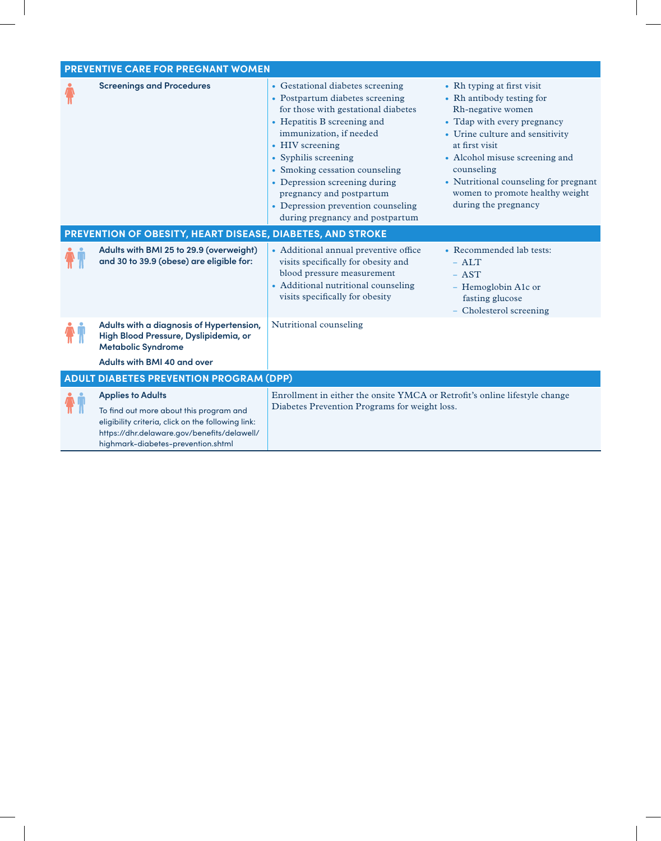| <b>PREVENTIVE CARE FOR PREGNANT WOMEN</b>                                                                                                                                                                      |                                                                                                                                                                                                                                                                                                                                                                                         |                                                                                                                                                                                                                                                                                                                      |
|----------------------------------------------------------------------------------------------------------------------------------------------------------------------------------------------------------------|-----------------------------------------------------------------------------------------------------------------------------------------------------------------------------------------------------------------------------------------------------------------------------------------------------------------------------------------------------------------------------------------|----------------------------------------------------------------------------------------------------------------------------------------------------------------------------------------------------------------------------------------------------------------------------------------------------------------------|
| <b>Screenings and Procedures</b><br>PREVENTION OF OBESITY, HEART DISEASE, DIABETES, AND STROKE                                                                                                                 | • Gestational diabetes screening<br>• Postpartum diabetes screening<br>for those with gestational diabetes<br>• Hepatitis B screening and<br>immunization, if needed<br>• HIV screening<br>• Syphilis screening<br>• Smoking cessation counseling<br>• Depression screening during<br>pregnancy and postpartum<br>• Depression prevention counseling<br>during pregnancy and postpartum | • Rh typing at first visit<br>• Rh antibody testing for<br>Rh-negative women<br>• Tdap with every pregnancy<br>• Urine culture and sensitivity<br>at first visit<br>• Alcohol misuse screening and<br>counseling<br>• Nutritional counseling for pregnant<br>women to promote healthy weight<br>during the pregnancy |
| Adults with BMI 25 to 29.9 (overweight)<br>and 30 to 39.9 (obese) are eligible for:                                                                                                                            | • Additional annual preventive office<br>visits specifically for obesity and<br>blood pressure measurement<br>• Additional nutritional counseling<br>visits specifically for obesity                                                                                                                                                                                                    | • Recommended lab tests:<br>$-ALT$<br>$-$ AST<br>- Hemoglobin A1c or<br>fasting glucose<br>- Cholesterol screening                                                                                                                                                                                                   |
| Adults with a diagnosis of Hypertension,<br>High Blood Pressure, Dyslipidemia, or<br><b>Metabolic Syndrome</b><br>Adults with BMI 40 and over                                                                  | Nutritional counseling                                                                                                                                                                                                                                                                                                                                                                  |                                                                                                                                                                                                                                                                                                                      |
| <b>ADULT DIABETES PREVENTION PROGRAM (DPP)</b>                                                                                                                                                                 |                                                                                                                                                                                                                                                                                                                                                                                         |                                                                                                                                                                                                                                                                                                                      |
| <b>Applies to Adults</b><br>To find out more about this program and<br>eligibility criteria, click on the following link:<br>https://dhr.delaware.gov/benefits/delawell/<br>highmark-diabetes-prevention.shtml | Enrollment in either the onsite YMCA or Retrofit's online lifestyle change<br>Diabetes Prevention Programs for weight loss.                                                                                                                                                                                                                                                             |                                                                                                                                                                                                                                                                                                                      |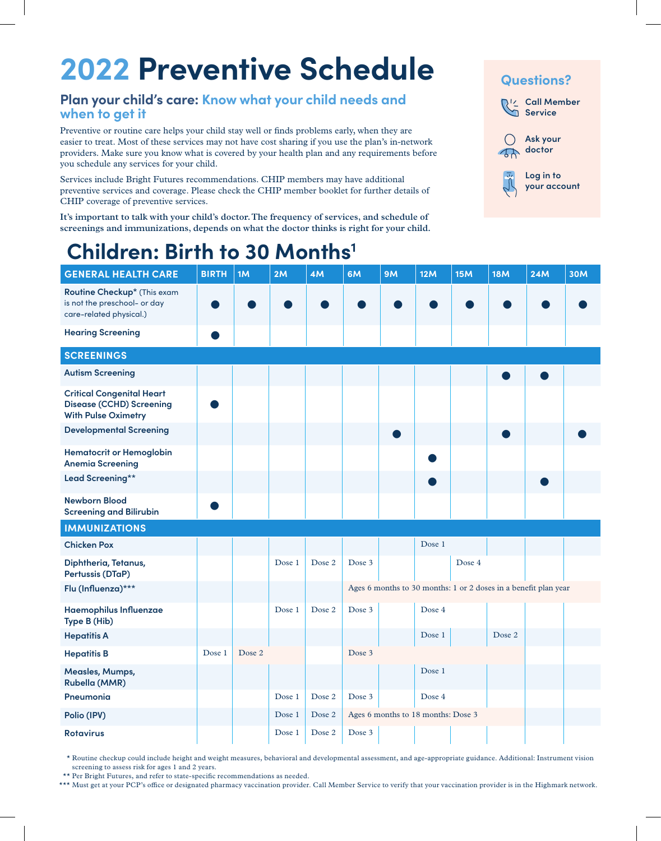## **2022 Preventive Schedule**

### **Plan your child's care: Know what your child needs and when to get it**

Preventive or routine care helps your child stay well or finds problems early, when they are easier to treat. Most of these services may not have cost sharing if you use the plan's in-network providers. Make sure you know what is covered by your health plan and any requirements before you schedule any services for your child.

Services include Bright Futures recommendations. CHIP members may have additional preventive services and coverage. Please check the CHIP member booklet for further details of CHIP coverage of preventive services.

**It's important to talk with your child's doctor. The frequency of services, and schedule of screenings and immunizations, depends on what the doctor thinks is right for your child.**



### **Children: Birth to 30 Months1**

| <b>GENERAL HEALTH CARE</b>                                                                        | <b>BIRTH</b> | 1M     | 2M     | 4M     | 6M                                                              | <b>9M</b> | 12M                                | 15M    | <b>18M</b> | <b>24M</b> | <b>30M</b> |
|---------------------------------------------------------------------------------------------------|--------------|--------|--------|--------|-----------------------------------------------------------------|-----------|------------------------------------|--------|------------|------------|------------|
| Routine Checkup* (This exam<br>is not the preschool- or day<br>care-related physical.)            |              |        |        |        |                                                                 |           |                                    |        |            |            |            |
| <b>Hearing Screening</b>                                                                          |              |        |        |        |                                                                 |           |                                    |        |            |            |            |
| <b>SCREENINGS</b>                                                                                 |              |        |        |        |                                                                 |           |                                    |        |            |            |            |
| <b>Autism Screening</b>                                                                           |              |        |        |        |                                                                 |           |                                    |        |            |            |            |
| <b>Critical Congenital Heart</b><br><b>Disease (CCHD) Screening</b><br><b>With Pulse Oximetry</b> |              |        |        |        |                                                                 |           |                                    |        |            |            |            |
| <b>Developmental Screening</b>                                                                    |              |        |        |        |                                                                 |           |                                    |        |            |            |            |
| <b>Hematocrit or Hemoglobin</b><br><b>Anemia Screening</b>                                        |              |        |        |        |                                                                 |           |                                    |        |            |            |            |
| Lead Screening**                                                                                  |              |        |        |        |                                                                 |           |                                    |        |            |            |            |
| <b>Newborn Blood</b><br><b>Screening and Bilirubin</b>                                            |              |        |        |        |                                                                 |           |                                    |        |            |            |            |
| <b>IMMUNIZATIONS</b>                                                                              |              |        |        |        |                                                                 |           |                                    |        |            |            |            |
| <b>Chicken Pox</b>                                                                                |              |        |        |        |                                                                 |           | Dose 1                             |        |            |            |            |
| Diphtheria, Tetanus,<br>Pertussis (DTaP)                                                          |              |        | Dose 1 | Dose 2 | Dose 3                                                          |           |                                    | Dose 4 |            |            |            |
| Flu (Influenza)***                                                                                |              |        |        |        | Ages 6 months to 30 months: 1 or 2 doses in a benefit plan year |           |                                    |        |            |            |            |
| Haemophilus Influenzae<br>Type B (Hib)                                                            |              |        | Dose 1 | Dose 2 | Dose 3                                                          |           | Dose 4                             |        |            |            |            |
| <b>Hepatitis A</b>                                                                                |              |        |        |        |                                                                 |           | Dose 1                             |        | Dose 2     |            |            |
| <b>Hepatitis B</b>                                                                                | Dose 1       | Dose 2 |        |        | Dose 3                                                          |           |                                    |        |            |            |            |
| Measles, Mumps,<br><b>Rubella (MMR)</b>                                                           |              |        |        |        |                                                                 |           | Dose 1                             |        |            |            |            |
| Pneumonia                                                                                         |              |        | Dose 1 | Dose 2 | Dose 3                                                          |           | Dose 4                             |        |            |            |            |
| Polio (IPV)                                                                                       |              |        | Dose 1 | Dose 2 |                                                                 |           | Ages 6 months to 18 months: Dose 3 |        |            |            |            |
| <b>Rotavirus</b>                                                                                  |              |        | Dose 1 | Dose 2 | Dose 3                                                          |           |                                    |        |            |            |            |

\* Routine checkup could include height and weight measures, behavioral and developmental assessment, and age-appropriate guidance. Additional: Instrument vision screening to assess risk for ages 1 and 2 years.

\*\* Per Bright Futures, and refer to state-specific recommendations as needed.

\*\*\* Must get at your PCP's office or designated pharmacy vaccination provider. Call Member Service to verify that your vaccination provider is in the Highmark network.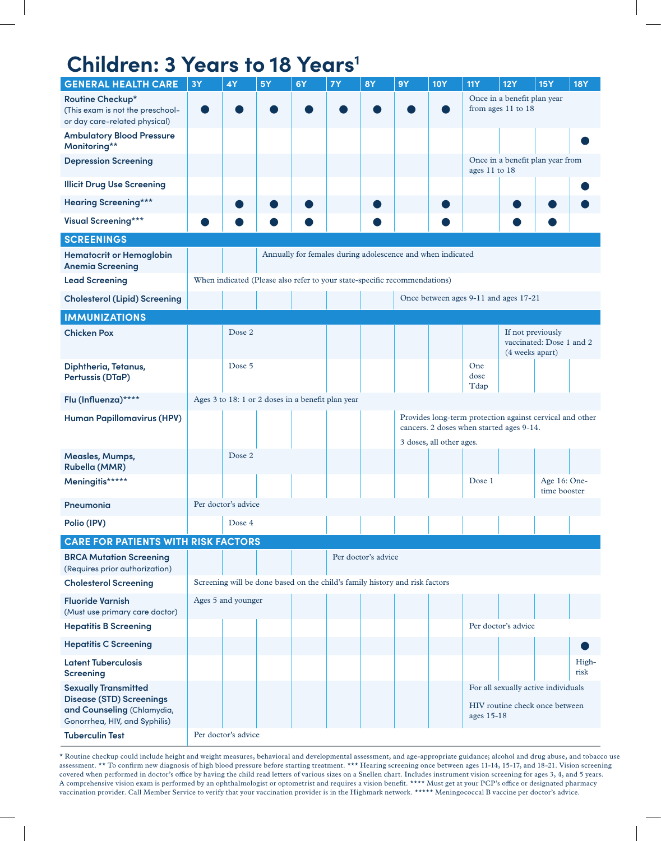## **Children: 3 Years to 18 Years<sup>1</sup>**

| <b>GENERAL HEALTH CARE</b>                                                                                                    | <b>3Y</b>                                                                                            | 4Y                  | 5Y | 6Y                                                                          | <b>7Y</b> | <b>8Y</b>           | <b>9Y</b>                                         | <b>10Y</b>                                        | <b>11Y</b>          | <b>12Y</b>                                                            | <b>15Y</b>                   | <b>18Y</b>    |
|-------------------------------------------------------------------------------------------------------------------------------|------------------------------------------------------------------------------------------------------|---------------------|----|-----------------------------------------------------------------------------|-----------|---------------------|---------------------------------------------------|---------------------------------------------------|---------------------|-----------------------------------------------------------------------|------------------------------|---------------|
| Routine Checkup*<br>(This exam is not the preschool-<br>or day care-related physical)                                         |                                                                                                      |                     |    |                                                                             |           |                     |                                                   | Once in a benefit plan year<br>from ages 11 to 18 |                     |                                                                       |                              |               |
| <b>Ambulatory Blood Pressure</b><br>Monitoring**                                                                              |                                                                                                      |                     |    |                                                                             |           |                     |                                                   |                                                   |                     |                                                                       |                              |               |
| <b>Depression Screening</b>                                                                                                   |                                                                                                      |                     |    |                                                                             |           |                     | Once in a benefit plan year from<br>ages 11 to 18 |                                                   |                     |                                                                       |                              |               |
| <b>Illicit Drug Use Screening</b>                                                                                             |                                                                                                      |                     |    |                                                                             |           |                     |                                                   |                                                   |                     |                                                                       |                              |               |
| <b>Hearing Screening***</b>                                                                                                   |                                                                                                      |                     |    |                                                                             |           |                     |                                                   |                                                   |                     |                                                                       |                              |               |
| <b>Visual Screening***</b>                                                                                                    |                                                                                                      |                     |    |                                                                             |           |                     |                                                   |                                                   |                     |                                                                       |                              |               |
| <b>SCREENINGS</b>                                                                                                             |                                                                                                      |                     |    |                                                                             |           |                     |                                                   |                                                   |                     |                                                                       |                              |               |
| <b>Hematocrit or Hemoglobin</b><br><b>Anemia Screening</b>                                                                    |                                                                                                      |                     |    | Annually for females during adolescence and when indicated                  |           |                     |                                                   |                                                   |                     |                                                                       |                              |               |
| <b>Lead Screening</b>                                                                                                         |                                                                                                      |                     |    | When indicated (Please also refer to your state-specific recommendations)   |           |                     |                                                   |                                                   |                     |                                                                       |                              |               |
| <b>Cholesterol (Lipid) Screening</b>                                                                                          |                                                                                                      |                     |    |                                                                             |           |                     |                                                   |                                                   |                     | Once between ages 9-11 and ages 17-21                                 |                              |               |
| <b>IMMUNIZATIONS</b>                                                                                                          |                                                                                                      |                     |    |                                                                             |           |                     |                                                   |                                                   |                     |                                                                       |                              |               |
| <b>Chicken Pox</b>                                                                                                            |                                                                                                      | Dose 2              |    |                                                                             |           |                     |                                                   |                                                   |                     | If not previously<br>(4 weeks apart)                                  | vaccinated: Dose 1 and 2     |               |
| Diphtheria, Tetanus,<br>Pertussis (DTaP)                                                                                      |                                                                                                      | Dose 5              |    |                                                                             |           |                     |                                                   |                                                   | One<br>dose<br>Tdap |                                                                       |                              |               |
| Flu (Influenza)****                                                                                                           |                                                                                                      |                     |    | Ages 3 to 18: 1 or 2 doses in a benefit plan year                           |           |                     |                                                   |                                                   |                     |                                                                       |                              |               |
| <b>Human Papillomavirus (HPV)</b>                                                                                             | Provides long-term protection against cervical and other<br>cancers. 2 doses when started ages 9-14. |                     |    |                                                                             |           |                     |                                                   |                                                   |                     |                                                                       |                              |               |
| Measles, Mumps,<br><b>Rubella (MMR)</b>                                                                                       |                                                                                                      | Dose 2              |    |                                                                             |           |                     |                                                   | 3 doses, all other ages.                          |                     |                                                                       |                              |               |
| Meningitis*****                                                                                                               |                                                                                                      |                     |    |                                                                             |           |                     |                                                   |                                                   | Dose 1              |                                                                       | Age 16: One-<br>time booster |               |
| Pneumonia                                                                                                                     |                                                                                                      | Per doctor's advice |    |                                                                             |           |                     |                                                   |                                                   |                     |                                                                       |                              |               |
| Polio (IPV)                                                                                                                   |                                                                                                      | Dose 4              |    |                                                                             |           |                     |                                                   |                                                   |                     |                                                                       |                              |               |
| <b>CARE FOR PATIENTS WITH RISK FACTORS</b>                                                                                    |                                                                                                      |                     |    |                                                                             |           |                     |                                                   |                                                   |                     |                                                                       |                              |               |
| <b>BRCA Mutation Screening</b><br>(Requires prior authorization)                                                              |                                                                                                      |                     |    |                                                                             |           | Per doctor's advice |                                                   |                                                   |                     |                                                                       |                              |               |
| <b>Cholesterol Screening</b>                                                                                                  |                                                                                                      |                     |    | Screening will be done based on the child's family history and risk factors |           |                     |                                                   |                                                   |                     |                                                                       |                              |               |
| <b>Fluoride Varnish</b><br>(Must use primary care doctor)<br><b>Hepatitis B Screening</b>                                     |                                                                                                      | Ages 5 and younger  |    |                                                                             |           |                     |                                                   |                                                   |                     | Per doctor's advice                                                   |                              |               |
|                                                                                                                               |                                                                                                      |                     |    |                                                                             |           |                     |                                                   |                                                   |                     |                                                                       |                              |               |
| <b>Hepatitis C Screening</b>                                                                                                  |                                                                                                      |                     |    |                                                                             |           |                     |                                                   |                                                   |                     |                                                                       |                              |               |
| <b>Latent Tuberculosis</b><br><b>Screening</b>                                                                                |                                                                                                      |                     |    |                                                                             |           |                     |                                                   |                                                   |                     |                                                                       |                              | High-<br>risk |
| <b>Sexually Transmitted</b><br><b>Disease (STD) Screenings</b><br>and Counseling (Chlamydia,<br>Gonorrhea, HIV, and Syphilis) |                                                                                                      |                     |    |                                                                             |           |                     |                                                   |                                                   | ages 15-18          | For all sexually active individuals<br>HIV routine check once between |                              |               |
| <b>Tuberculin Test</b>                                                                                                        |                                                                                                      | Per doctor's advice |    |                                                                             |           |                     |                                                   |                                                   |                     |                                                                       |                              |               |

\* Routine checkup could include height and weight measures, behavioral and developmental assessment, and age-appropriate guidance; alcohol and drug abuse, and tobacco use assessment. \*\* To confirm new diagnosis of high blood pressure before starting treatment. \*\*\* Hearing screening once between ages 11-14, 15-17, and 18-21. Vision screening covered when performed in doctor's office by having the child read letters of various sizes on a Snellen chart. Includes instrument vision screening for ages 3, 4, and 5 years. A comprehensive vision exam is performed by an ophthalmologist or optometrist and requires a vision benefit. \*\*\*\* Must get at your PCP's office or designated pharmacy vaccination provider. Call Member Service to verify that your vaccination provider is in the Highmark network. \*\*\*\*\* Meningococcal B vaccine per doctor's advice.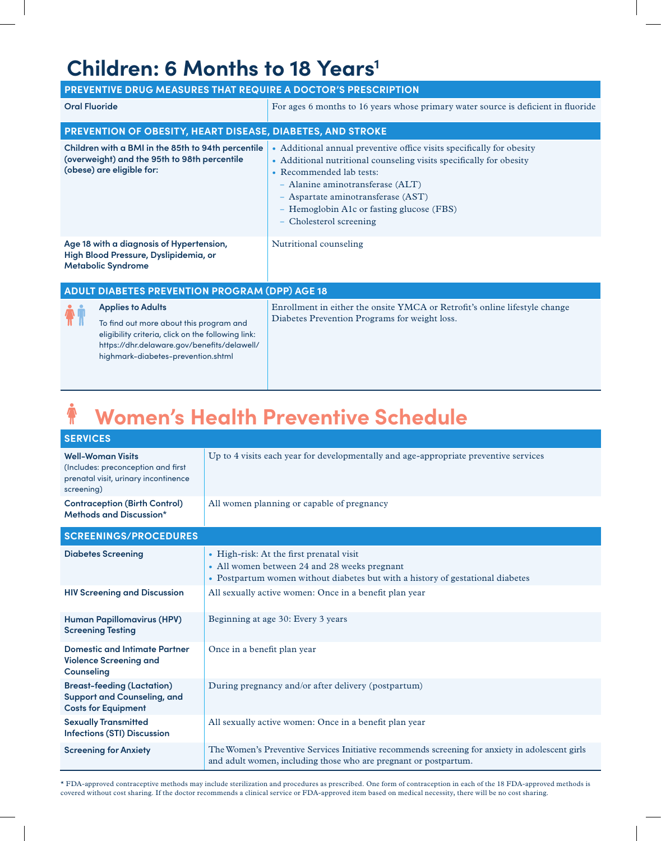### **Children: 6 Months to 18 Years<sup>1</sup>**

| PREVENTIVE DRUG MEASURES THAT REQUIRE A DOCTOR'S PRESCRIPTION                                                                                                                                                  |                                                                                                                                                                                                                                                                                                                            |
|----------------------------------------------------------------------------------------------------------------------------------------------------------------------------------------------------------------|----------------------------------------------------------------------------------------------------------------------------------------------------------------------------------------------------------------------------------------------------------------------------------------------------------------------------|
| <b>Oral Fluoride</b>                                                                                                                                                                                           | For ages 6 months to 16 years whose primary water source is deficient in fluoride                                                                                                                                                                                                                                          |
| PREVENTION OF OBESITY, HEART DISEASE, DIABETES, AND STROKE                                                                                                                                                     |                                                                                                                                                                                                                                                                                                                            |
| Children with a BMI in the 85th to 94th percentile<br>(overweight) and the 95th to 98th percentile<br>(obese) are eligible for:                                                                                | • Additional annual preventive office visits specifically for obesity<br>• Additional nutritional counseling visits specifically for obesity<br>• Recommended lab tests:<br>- Alanine aminotransferase (ALT)<br>- Aspartate aminotransferase (AST)<br>- Hemoglobin A1c or fasting glucose (FBS)<br>- Cholesterol screening |
| Age 18 with a diagnosis of Hypertension,<br>High Blood Pressure, Dyslipidemia, or<br><b>Metabolic Syndrome</b>                                                                                                 | Nutritional counseling                                                                                                                                                                                                                                                                                                     |
| <b>ADULT DIABETES PREVENTION PROGRAM (DPP) AGE 18</b>                                                                                                                                                          |                                                                                                                                                                                                                                                                                                                            |
| <b>Applies to Adults</b><br>To find out more about this program and<br>eligibility criteria, click on the following link:<br>https://dhr.delaware.gov/benefits/delawell/<br>highmark-diabetes-prevention.shtml | Enrollment in either the onsite YMCA or Retrofit's online lifestyle change<br>Diabetes Prevention Programs for weight loss.                                                                                                                                                                                                |

#### $\ddot{\textbf{r}}$ **Women's Health Preventive Schedule**

| <b>SERVICES</b>                                                                                                      |                                                                                                                                                                            |
|----------------------------------------------------------------------------------------------------------------------|----------------------------------------------------------------------------------------------------------------------------------------------------------------------------|
| <b>Well-Woman Visits</b><br>(Includes: preconception and first<br>prenatal visit, urinary incontinence<br>screening) | Up to 4 visits each year for developmentally and age-appropriate preventive services                                                                                       |
| <b>Contraception (Birth Control)</b><br>Methods and Discussion*                                                      | All women planning or capable of pregnancy                                                                                                                                 |
| <b>SCREENINGS/PROCEDURES</b>                                                                                         |                                                                                                                                                                            |
| <b>Diabetes Screening</b>                                                                                            | • High-risk: At the first prenatal visit<br>• All women between 24 and 28 weeks pregnant<br>• Postpartum women without diabetes but with a history of gestational diabetes |
| <b>HIV Screening and Discussion</b>                                                                                  | All sexually active women: Once in a benefit plan year                                                                                                                     |
| <b>Human Papillomavirus (HPV)</b><br><b>Screening Testing</b>                                                        | Beginning at age 30: Every 3 years                                                                                                                                         |
| <b>Domestic and Intimate Partner</b><br><b>Violence Screening and</b><br>Counseling                                  | Once in a benefit plan year                                                                                                                                                |
| <b>Breast-feeding (Lactation)</b><br><b>Support and Counseling, and</b><br><b>Costs for Equipment</b>                | During pregnancy and/or after delivery (postpartum)                                                                                                                        |
| <b>Sexually Transmitted</b><br><b>Infections (STI) Discussion</b>                                                    | All sexually active women: Once in a benefit plan year                                                                                                                     |
| <b>Screening for Anxiety</b>                                                                                         | The Women's Preventive Services Initiative recommends screening for anxiety in adolescent girls<br>and adult women, including those who are pregnant or postpartum.        |

\* FDA-approved contraceptive methods may include sterilization and procedures as prescribed. One form of contraception in each of the 18 FDA-approved methods is covered without cost sharing. If the doctor recommends a clinical service or FDA-approved item based on medical necessity, there will be no cost sharing.